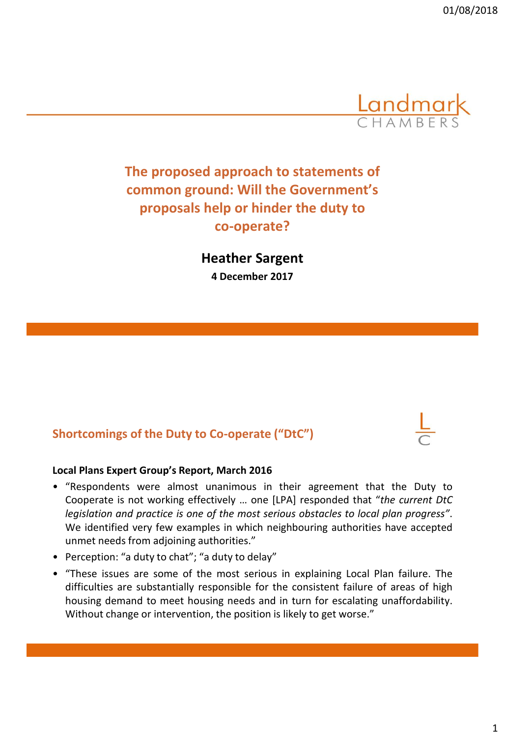

# **The proposed approach to statements of common ground: Will the Government's proposals help or hinder the duty to co-operate?**

**Heather Sargent 4 December 2017**

### **Shortcomings of the Duty to Co-operate ("DtC")**



- "Respondents were almost unanimous in their agreement that the Duty to Cooperate is not working effectively … one [LPA] responded that "*the current DtC legislation and practice is one of the most serious obstacles to local plan progress"*. We identified very few examples in which neighbouring authorities have accepted unmet needs from adjoining authorities."
- Perception: "a duty to chat"; "a duty to delay"
- "These issues are some of the most serious in explaining Local Plan failure. The difficulties are substantially responsible for the consistent failure of areas of high housing demand to meet housing needs and in turn for escalating unaffordability. Without change or intervention, the position is likely to get worse."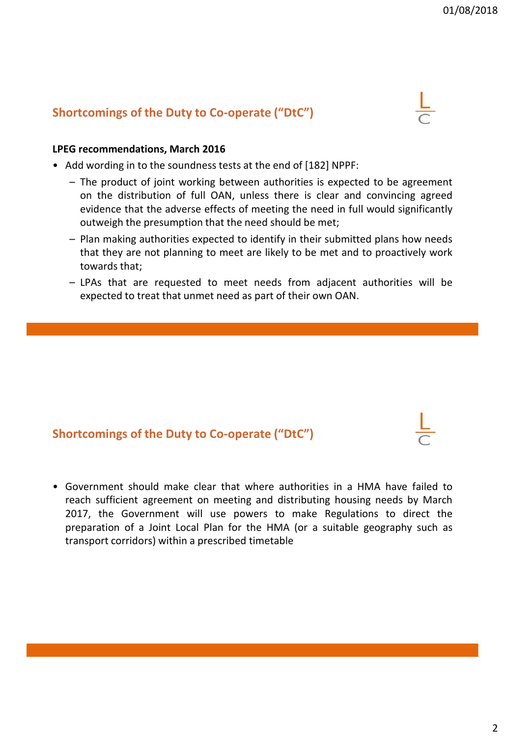### **Shortcomings of the Duty to Co-operate ("DtC")**



#### **LPEG recommendations, March 2016**

- Add wording in to the soundness tests at the end of [182] NPPF:
	- The product of joint working between authorities is expected to be agreement on the distribution of full OAN, unless there is clear and convincing agreed evidence that the adverse effects of meeting the need in full would significantly outweigh the presumption that the need should be met;
	- Plan making authorities expected to identify in their submitted plans how needs that they are not planning to meet are likely to be met and to proactively work towards that;
	- LPAs that are requested to meet needs from adjacent authorities will be expected to treat that unmet need as part of their own OAN.

#### **Shortcomings of the Duty to Co-operate ("DtC")**

• Government should make clear that where authorities in a HMA have failed to reach sufficient agreement on meeting and distributing housing needs by March 2017, the Government will use powers to make Regulations to direct the preparation of a Joint Local Plan for the HMA (or a suitable geography such as transport corridors) within a prescribed timetable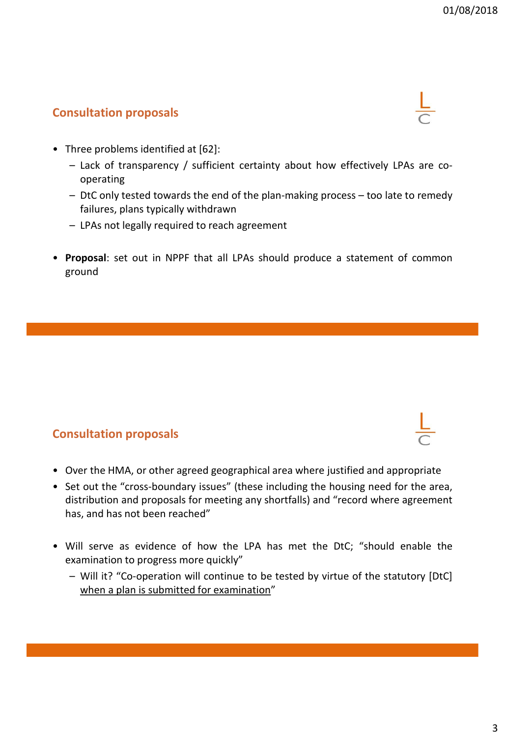## **Consultation proposals**



- Three problems identified at [62]:
	- Lack of transparency / sufficient certainty about how effectively LPAs are cooperating
	- DtC only tested towards the end of the plan-making process too late to remedy failures, plans typically withdrawn
	- LPAs not legally required to reach agreement
- **Proposal**: set out in NPPF that all LPAs should produce a statement of common ground

### **Consultation proposals**

- Over the HMA, or other agreed geographical area where justified and appropriate
- Set out the "cross-boundary issues" (these including the housing need for the area, distribution and proposals for meeting any shortfalls) and "record where agreement has, and has not been reached"
- Will serve as evidence of how the LPA has met the DtC; "should enable the examination to progress more quickly"
	- Will it? "Co-operation will continue to be tested by virtue of the statutory [DtC] when a plan is submitted for examination"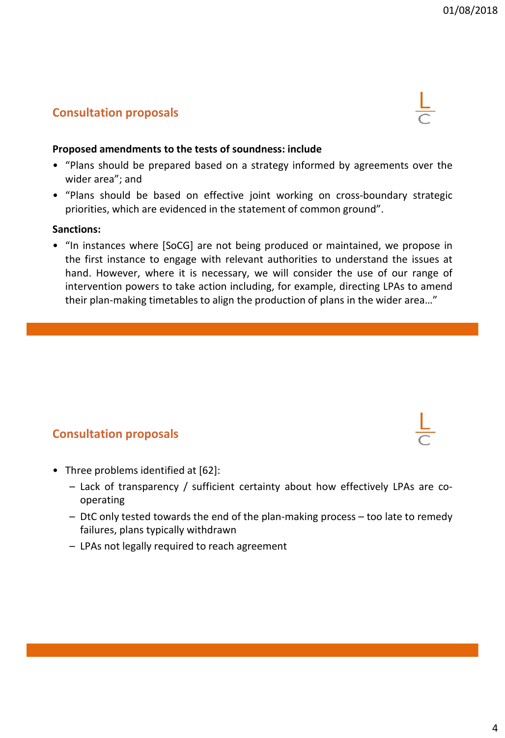# **Consultation proposals**



- "Plans should be prepared based on a strategy informed by agreements over the wider area"; and
- "Plans should be based on effective joint working on cross-boundary strategic priorities, which are evidenced in the statement of common ground".

#### **Sanctions:**

• "In instances where [SoCG] are not being produced or maintained, we propose in the first instance to engage with relevant authorities to understand the issues at hand. However, where it is necessary, we will consider the use of our range of intervention powers to take action including, for example, directing LPAs to amend their plan-making timetables to align the production of plans in the wider area…"

#### **Consultation proposals**

- Three problems identified at [62]:
	- Lack of transparency / sufficient certainty about how effectively LPAs are cooperating
	- DtC only tested towards the end of the plan-making process too late to remedy failures, plans typically withdrawn
	- LPAs not legally required to reach agreement